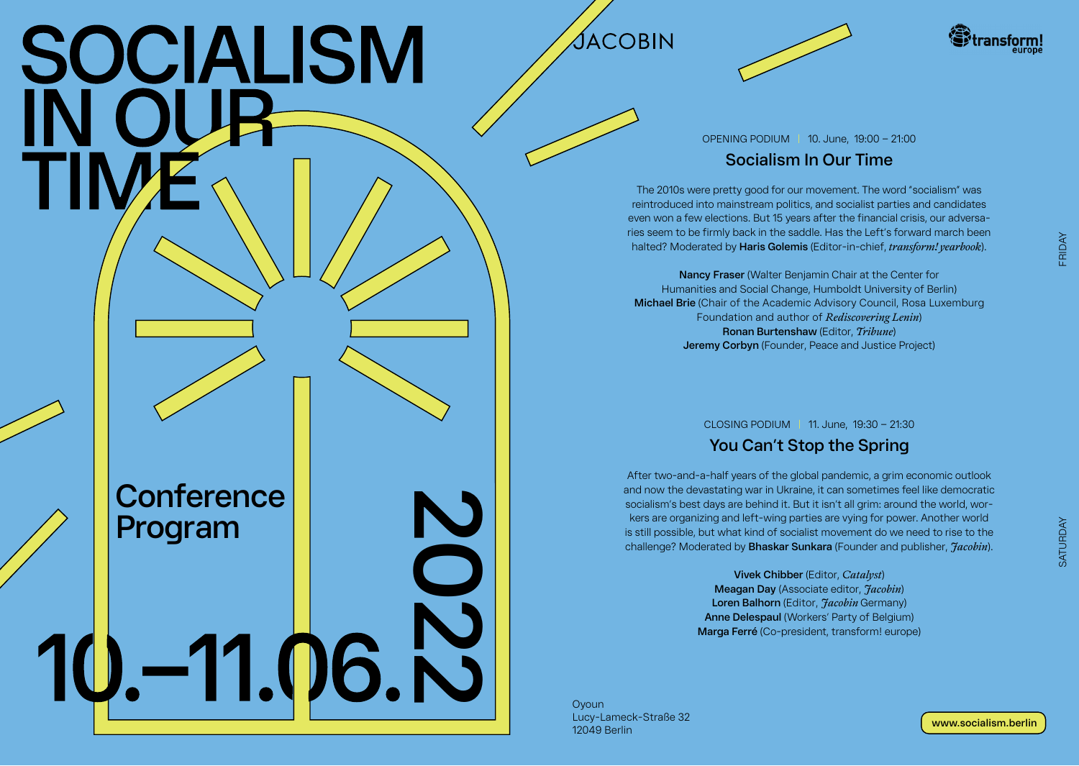# SOCIALISM

**Conference** 

Program<br>**10.** –11.06. N

**Program**







OPENING PODIUM | 10. June, 19:00 – 21:00

## **Socialism In Our Time**

The 2010s were pretty good for our movement. The word "socialism" was reintroduced into mainstream politics, and socialist parties and candidates even won a few elections. But 15 years after the financial crisis, our adversaries seem to be firmly back in the saddle. Has the Left's forward march been halted? Moderated by **Haris Golemis** (Editor-in-chief, *transform! yearbook*).

**Nancy Fraser** (Walter Benjamin Chair at the Center for Humanities and Social Change, Humboldt University of Berlin) **Michael Brie** (Chair of the Academic Advisory Council, Rosa Luxemburg Foundation and author of *Rediscovering Lenin*) **Ronan Burtenshaw** (Editor, *Tribune*) **Jeremy Corbyn** (Founder, Peace and Justice Project)

CLOSING PODIUM | 11. June, 19:30 – 21:30

# **You Can't Stop the Spring**

After two-and-a-half years of the global pandemic, a grim economic outlook and now the devastating war in Ukraine, it can sometimes feel like democratic socialism's best days are behind it. But it isn't all grim: around the world, workers are organizing and left-wing parties are vying for power. Another world is still possible, but what kind of socialist movement do we need to rise to the challenge? Moderated by **Bhaskar Sunkara** (Founder and publisher, *Jacobin*).

> **Vivek Chibber** (Editor, *Catalyst*) **Meagan Day** (Associate editor, *Jacobin*) **Loren Balhorn** (Editor, *Facobin* Germany) **Anne Delespaul** (Workers' Party of Belgium) **Marga Ferré** (Co-president, transform! europe)

**O**voun Lucy-Lameck-Straße 32 12049 Berlin

FRIDAY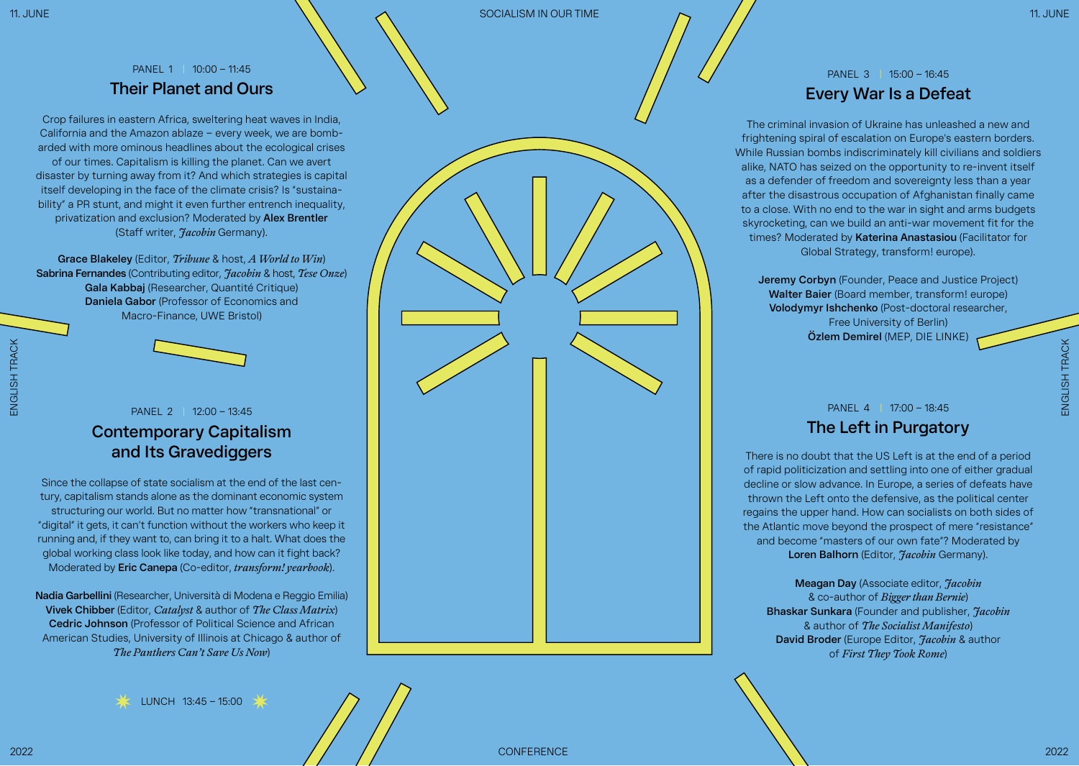## PANEL 1 | 10:00 – 11:45 **Their Planet and Ours**

Crop failures in eastern Africa, sweltering heat waves in India, California and the Amazon ablaze – every week, we are bombarded with more ominous headlines about the ecological crises of our times. Capitalism is killing the planet. Can we avert disaster by turning away from it? And which strategies is capital itself developing in the face of the climate crisis? Is "sustainability" a PR stunt, and might it even further entrench inequality, privatization and exclusion? Moderated by **Alex Brentler** (Staff writer, *Jacobin* Germany).

**Grace Blakeley** (Editor, *Tribune* & host, *A World to Win*) **Sabrina Fernandes** (Contributing editor, *Jacobin* & host, *Tese Onze*) **Gala Kabbaj** (Researcher, Quantité Critique) **Daniela Gabor** (Professor of Economics and Macro-Finance, UWE Bristol)



# PANEL 2 | 12:00 – 13:45

## **Contemporary Capitalism and Its Gravediggers**

Since the collapse of state socialism at the end of the last century, capitalism stands alone as the dominant economic system structuring our world. But no matter how "transnational" or "digital" it gets, it can't function without the workers who keep it running and, if they want to, can bring it to a halt. What does the global working class look like today, and how can it fight back? Moderated by **Eric Canepa** (Co-editor, *transform! yearbook*).

**Nadia Garbellini** (Researcher, Università di Modena e Reggio Emilia) **Vivek Chibber** (Editor, *Catalyst* & author of *The Class Matrix*) **Cedric Johnson** (Professor of Political Science and African American Studies, University of Illinois at Chicago & author of *The Panthers Can't Save Us Now*)



### PANEL 3 | 15:00 – 16:45 **Every War Is a Defeat**

The criminal invasion of Ukraine has unleashed a new and frightening spiral of escalation on Europe's eastern borders. While Russian bombs indiscriminately kill civilians and soldiers alike, NATO has seized on the opportunity to re-invent itself as a defender of freedom and sovereignty less than a year after the disastrous occupation of Afghanistan finally came to a close. With no end to the war in sight and arms budgets skyrocketing, can we build an anti-war movement fit for the times? Moderated by **Katerina Anastasiou** (Facilitator for Global Strategy, transform! europe).

**Jeremy Corbyn** (Founder, Peace and Justice Project) **Walter Baier** (Board member, transform! europe) **Volodymyr Ishchenko** (Post-doctoral researcher, Free University of Berlin) **Özlem Demirel** (MEP, DIE LINKE)

PANEL 4 | 17:00 – 18:45

# **The Left in Purgatory**

There is no doubt that the US Left is at the end of a period of rapid politicization and settling into one of either gradual decline or slow advance. In Europe, a series of defeats have thrown the Left onto the defensive, as the political center regains the upper hand. How can socialists on both sides of the Atlantic move beyond the prospect of mere "resistance" and become "masters of our own fate"? Moderated by **Loren Balhorn** (Editor, *Jacobin* Germany).

**Meagan Day** (Associate editor, *Jacobin*  & co-author of *Bigger than Bernie*) **Bhaskar Sunkara** (Founder and publisher, *Jacobin*  & author of *The Socialist Manifesto*) **David Broder** (Europe Editor, *Jacobin* & author of *First They Took Rome*)

ENGLISH TRACK

ENGLISH TRACK

ENGLISH TRACK

ENGLISH TRACK